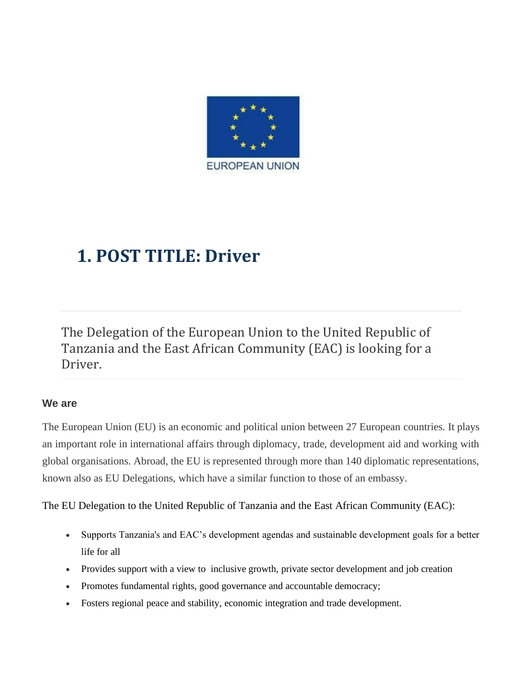

## **1. POST TITLE: Driver**

The Delegation of the European Union to the United Republic of Tanzania and the East African Community (EAC) is looking for a Driver.

#### **We are**

The European Union (EU) is an economic and political union between 27 European countries. It plays an important role in international affairs through diplomacy, trade, development aid and working with global organisations. Abroad, the EU is represented through more than 140 diplomatic representations, known also as EU Delegations, which have a similar function to those of an embassy.

The EU Delegation to the United Republic of Tanzania and the East African Community (EAC):

- Supports Tanzania's and EAC's development agendas and sustainable development goals for a better life for all
- Provides support with a view to inclusive growth, private sector development and job creation
- Promotes fundamental rights, good governance and accountable democracy;
- Fosters regional peace and stability, economic integration and trade development.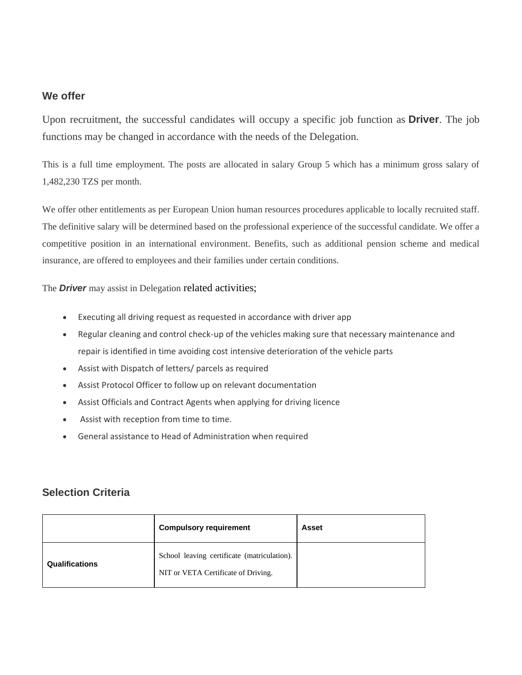#### **We offer**

Upon recruitment, the successful candidates will occupy a specific job function as **Driver**. The job functions may be changed in accordance with the needs of the Delegation.

This is a full time employment. The posts are allocated in salary Group 5 which has a minimum gross salary of 1,482,230 TZS per month.

We offer other entitlements as per European Union human resources procedures applicable to locally recruited staff. The definitive salary will be determined based on the professional experience of the successful candidate. We offer a competitive position in an international environment. Benefits, such as additional pension scheme and medical insurance, are offered to employees and their families under certain conditions.

The **Driver** may assist in Delegation related activities;

- Executing all driving request as requested in accordance with driver app
- Regular cleaning and control check-up of the vehicles making sure that necessary maintenance and repair is identified in time avoiding cost intensive deterioration of the vehicle parts
- Assist with Dispatch of letters/ parcels as required
- Assist Protocol Officer to follow up on relevant documentation
- Assist Officials and Contract Agents when applying for driving licence
- Assist with reception from time to time.
- General assistance to Head of Administration when required

#### **Selection Criteria**

|                       | <b>Compulsory requirement</b>                                                      | Asset |
|-----------------------|------------------------------------------------------------------------------------|-------|
| <b>Qualifications</b> | School leaving certificate (matriculation).<br>NIT or VETA Certificate of Driving. |       |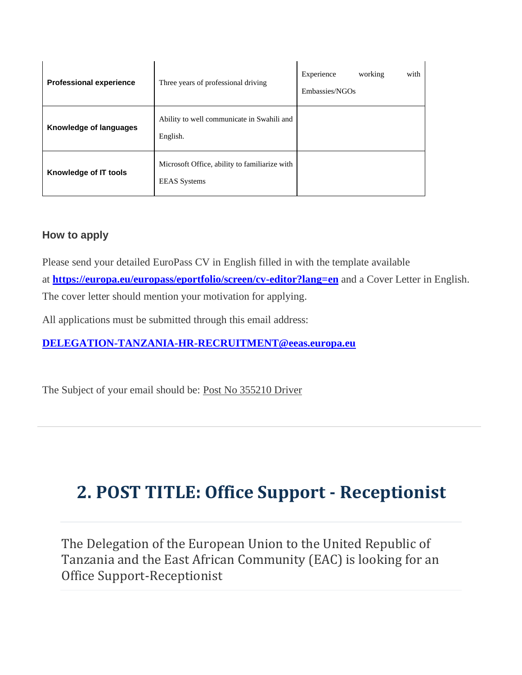| <b>Professional experience</b> | Three years of professional driving                                  | Experience<br>working<br>with<br>Embassies/NGOs |
|--------------------------------|----------------------------------------------------------------------|-------------------------------------------------|
| Knowledge of languages         | Ability to well communicate in Swahili and<br>English.               |                                                 |
| Knowledge of IT tools          | Microsoft Office, ability to familiarize with<br><b>EEAS</b> Systems |                                                 |

### **How to apply**

Please send your detailed EuroPass CV in English filled in with the template available at **<https://europa.eu/europass/eportfolio/screen/cv-editor?lang=en>** and a Cover Letter in English. The cover letter should mention your motivation for applying.

All applications must be submitted through this email address:

**[DELEGATION-TANZANIA-HR-RECRUITMENT@eeas.europa.eu](mailto:DELEGATION-TANZANIA-HR-RECRUITMENT@eeas.europa.eu)** 

The Subject of your email should be: Post No 355210 Driver

# **2. POST TITLE: Office Support - Receptionist**

The Delegation of the European Union to the United Republic of Tanzania and the East African Community (EAC) is looking for an Office Support-Receptionist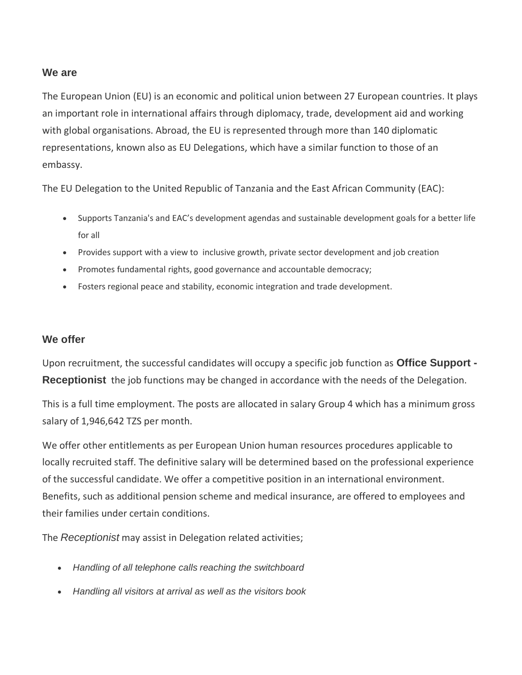#### **We are**

The European Union (EU) is an economic and political union between 27 European countries. It plays an important role in international affairs through diplomacy, trade, development aid and working with global organisations. Abroad, the EU is represented through more than 140 diplomatic representations, known also as EU Delegations, which have a similar function to those of an embassy.

The EU Delegation to the United Republic of Tanzania and the East African Community (EAC):

- Supports Tanzania's and EAC's development agendas and sustainable development goals for a better life for all
- Provides support with a view to inclusive growth, private sector development and job creation
- Promotes fundamental rights, good governance and accountable democracy;
- Fosters regional peace and stability, economic integration and trade development.

#### **We offer**

Upon recruitment, the successful candidates will occupy a specific job function as **Office Support - Receptionist** the job functions may be changed in accordance with the needs of the Delegation.

This is a full time employment. The posts are allocated in salary Group 4 which has a minimum gross salary of 1,946,642 TZS per month.

We offer other entitlements as per European Union human resources procedures applicable to locally recruited staff. The definitive salary will be determined based on the professional experience of the successful candidate. We offer a competitive position in an international environment. Benefits, such as additional pension scheme and medical insurance, are offered to employees and their families under certain conditions.

The *Receptionist* may assist in Delegation related activities;

- *Handling of all telephone calls reaching the switchboard*
- *Handling all visitors at arrival as well as the visitors book*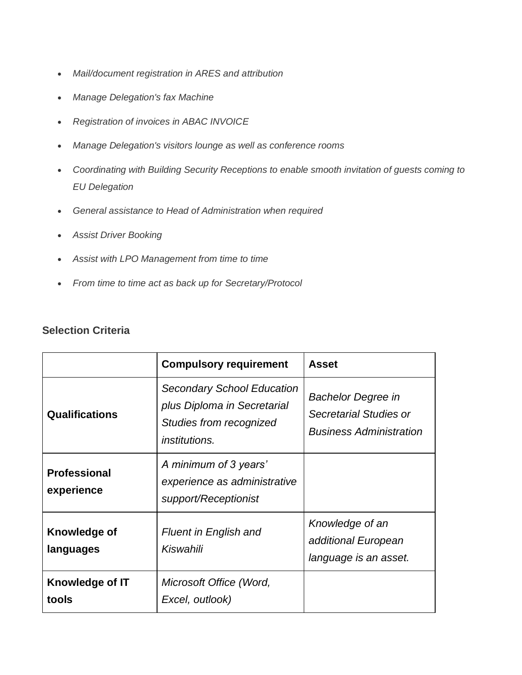- *Mail/document registration in ARES and attribution*
- *Manage Delegation's fax Machine*
- *Registration of invoices in ABAC INVOICE*
- *Manage Delegation's visitors lounge as well as conference rooms*
- *Coordinating with Building Security Receptions to enable smooth invitation of guests coming to EU Delegation*
- *General assistance to Head of Administration when required*
- *Assist Driver Booking*
- *Assist with LPO Management from time to time*
- *From time to time act as back up for Secretary/Protocol*

#### **Selection Criteria**

|                                   | <b>Compulsory requirement</b>                                                                                       | <b>Asset</b>                                                                          |
|-----------------------------------|---------------------------------------------------------------------------------------------------------------------|---------------------------------------------------------------------------------------|
| <b>Qualifications</b>             | <b>Secondary School Education</b><br>plus Diploma in Secretarial<br>Studies from recognized<br><i>institutions.</i> | <b>Bachelor Degree in</b><br>Secretarial Studies or<br><b>Business Administration</b> |
| <b>Professional</b><br>experience | A minimum of 3 years'<br>experience as administrative<br>support/Receptionist                                       |                                                                                       |
| Knowledge of<br>languages         | <b>Fluent in English and</b><br>Kiswahili                                                                           | Knowledge of an<br>additional European<br>language is an asset.                       |
| Knowledge of IT<br>tools          | Microsoft Office (Word,<br>Excel, outlook)                                                                          |                                                                                       |